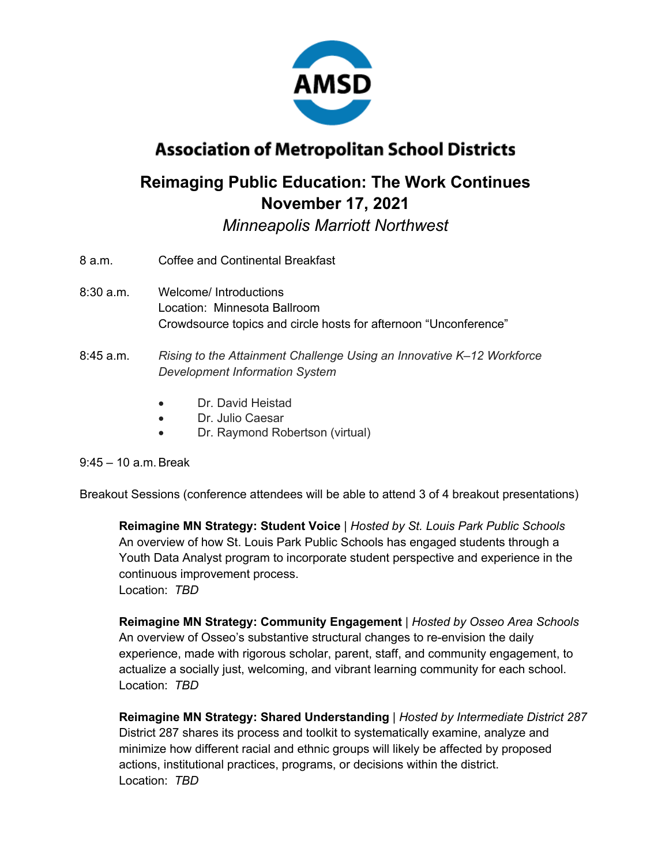

# **Association of Metropolitan School Districts**

## **Reimaging Public Education: The Work Continues November 17, 2021**

*Minneapolis Marriott Northwest*

- 8 a.m. Coffee and Continental Breakfast
- 8:30 a.m. Welcome/ Introductions Location: Minnesota Ballroom Crowdsource topics and circle hosts for afternoon "Unconference"
- 8:45 a.m. *Rising to the Attainment Challenge Using an Innovative K–12 Workforce Development Information System*
	- Dr. David Heistad
	- Dr. Julio Caesar
	- Dr. Raymond Robertson (virtual)

### $9:45-10$  a.m. Break

Breakout Sessions (conference attendees will be able to attend 3 of 4 breakout presentations)

**Reimagine MN Strategy: Student Voice** | *Hosted by St. Louis Park Public Schools* An overview of how St. Louis Park Public Schools has engaged students through a Youth Data Analyst program to incorporate student perspective and experience in the continuous improvement process. Location: *TBD*

**Reimagine MN Strategy: Community Engagement** | *Hosted by Osseo Area Schools* An overview of Osseo's substantive structural changes to re-envision the daily experience, made with rigorous scholar, parent, staff, and community engagement, to actualize a socially just, welcoming, and vibrant learning community for each school. Location: *TBD*

**Reimagine MN Strategy: Shared Understanding** | *Hosted by Intermediate District 287* District 287 shares its process and toolkit to systematically examine, analyze and minimize how different racial and ethnic groups will likely be affected by proposed actions, institutional practices, programs, or decisions within the district. Location: *TBD*